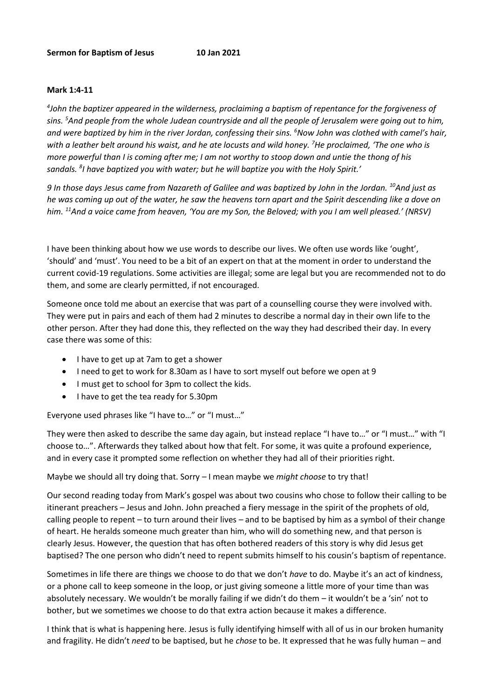## **Mark 1:4-11**

*4 John the baptizer appeared in the wilderness, proclaiming a baptism of repentance for the forgiveness of sins. <sup>5</sup>And people from the whole Judean countryside and all the people of Jerusalem were going out to him, and were baptized by him in the river Jordan, confessing their sins. <sup>6</sup>Now John was clothed with camel's hair, with a leather belt around his waist, and he ate locusts and wild honey. <sup>7</sup>He proclaimed, 'The one who is more powerful than I is coming after me; I am not worthy to stoop down and untie the thong of his sandals. <sup>8</sup> I have baptized you with water; but he will baptize you with the Holy Spirit.'*

*9 In those days Jesus came from Nazareth of Galilee and was baptized by John in the Jordan. <sup>10</sup>And just as he was coming up out of the water, he saw the heavens torn apart and the Spirit descending like a dove on him. <sup>11</sup>And a voice came from heaven, 'You are my Son, the Beloved; with you I am well pleased.' (NRSV)*

I have been thinking about how we use words to describe our lives. We often use words like 'ought', 'should' and 'must'. You need to be a bit of an expert on that at the moment in order to understand the current covid-19 regulations. Some activities are illegal; some are legal but you are recommended not to do them, and some are clearly permitted, if not encouraged.

Someone once told me about an exercise that was part of a counselling course they were involved with. They were put in pairs and each of them had 2 minutes to describe a normal day in their own life to the other person. After they had done this, they reflected on the way they had described their day. In every case there was some of this:

- I have to get up at 7am to get a shower
- I need to get to work for 8.30am as I have to sort myself out before we open at 9
- I must get to school for 3pm to collect the kids.
- I have to get the tea ready for 5.30pm

Everyone used phrases like "I have to…" or "I must…"

They were then asked to describe the same day again, but instead replace "I have to…" or "I must…" with "I choose to…". Afterwards they talked about how that felt. For some, it was quite a profound experience, and in every case it prompted some reflection on whether they had all of their priorities right.

Maybe we should all try doing that. Sorry – I mean maybe we *might choose* to try that!

Our second reading today from Mark's gospel was about two cousins who chose to follow their calling to be itinerant preachers – Jesus and John. John preached a fiery message in the spirit of the prophets of old, calling people to repent – to turn around their lives – and to be baptised by him as a symbol of their change of heart. He heralds someone much greater than him, who will do something new, and that person is clearly Jesus. However, the question that has often bothered readers of this story is why did Jesus get baptised? The one person who didn't need to repent submits himself to his cousin's baptism of repentance.

Sometimes in life there are things we choose to do that we don't *have* to do. Maybe it's an act of kindness, or a phone call to keep someone in the loop, or just giving someone a little more of your time than was absolutely necessary. We wouldn't be morally failing if we didn't do them – it wouldn't be a 'sin' not to bother, but we sometimes we choose to do that extra action because it makes a difference.

I think that is what is happening here. Jesus is fully identifying himself with all of us in our broken humanity and fragility. He didn't *need* to be baptised, but he *chose* to be. It expressed that he was fully human – and